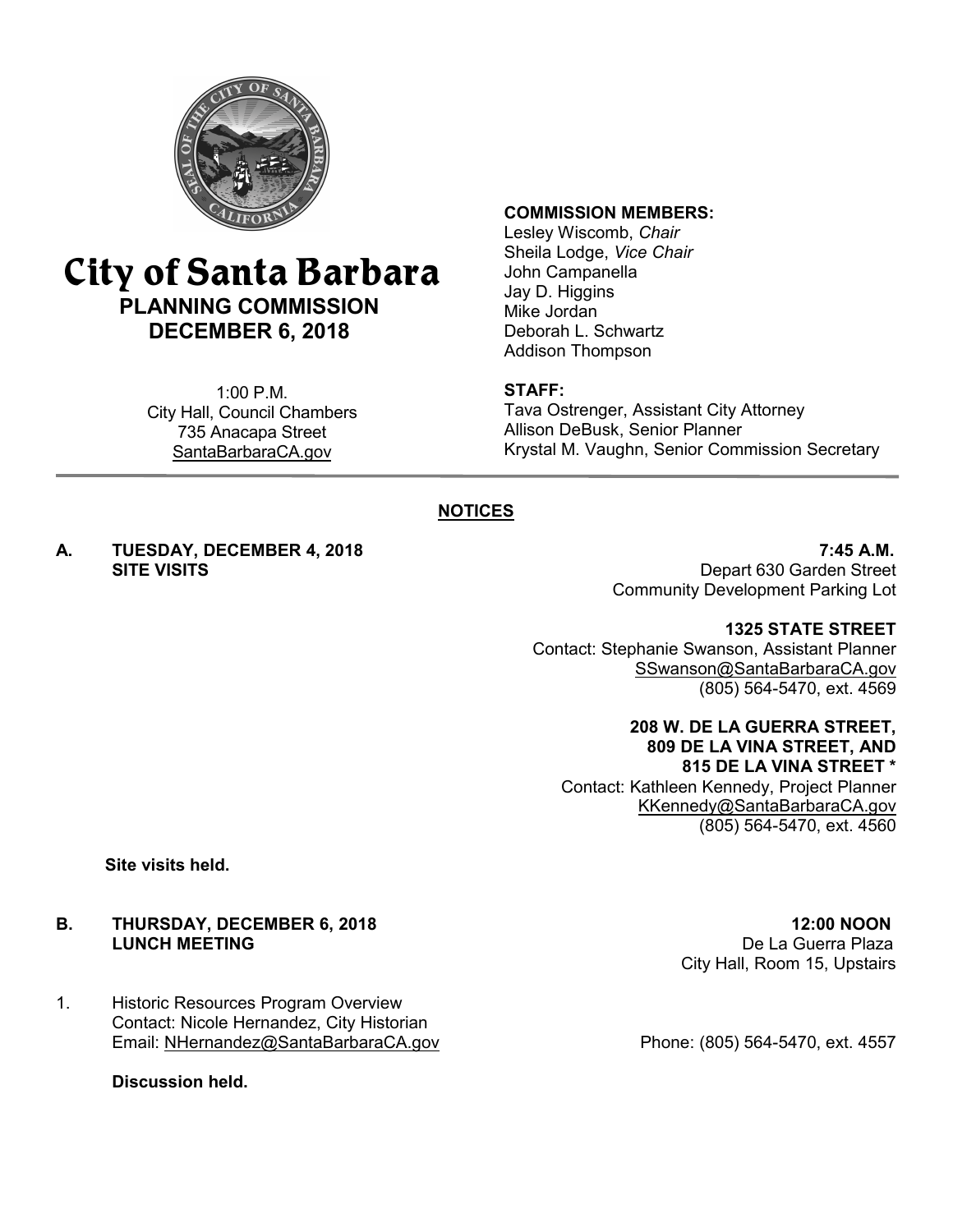

# **City of Santa Barbara PLANNING COMMISSION DECEMBER 6, 2018**

1:00 P.M. City Hall, Council Chambers 735 Anacapa Street SantaBarbaraCA.gov

#### **COMMISSION MEMBERS:**

Lesley Wiscomb, *Chair* Sheila Lodge, *Vice Chair* John Campanella Jay D. Higgins Mike Jordan Deborah L. Schwartz Addison Thompson

#### **STAFF:**

Tava Ostrenger, Assistant City Attorney Allison DeBusk, Senior Planner Krystal M. Vaughn, Senior Commission Secretary

### **NOTICES**

# **A. TUESDAY, DECEMBER 4, 2018 7:45 A.M.**

Depart 630 Garden Street Community Development Parking Lot

**1325 STATE STREET**

Contact: Stephanie Swanson, Assistant Planner [SSwanson@SantaBarbaraCA.gov](mailto:SSwanson@SantaBarbaraCA.gov) (805) 564-5470, ext. 4569

> **208 W. DE LA GUERRA STREET, 809 DE LA VINA STREET, AND**

**815 DE LA VINA STREET \***  Contact: Kathleen Kennedy, Project Planner [KKennedy@SantaBarbaraCA.gov](mailto:KKennedy@SantaBarbaraCA.gov) (805) 564-5470, ext. 4560

**Site visits held.**

# **B. THURSDAY, DECEMBER 6, 2018 12:00 NOON**<br>**LUNCH MEETING 12:00 NOON**

1. Historic Resources Program Overview Contact: Nicole Hernandez, City Historian Email: <u>[NHernandez@SantaBarbaraCA.gov](mailto:NHernandez@SantaBarbaraCA.gov)</u> Phone: (805) 564-5470, ext. 4557

**Discussion held.**

De La Guerra Plaza City Hall, Room 15, Upstairs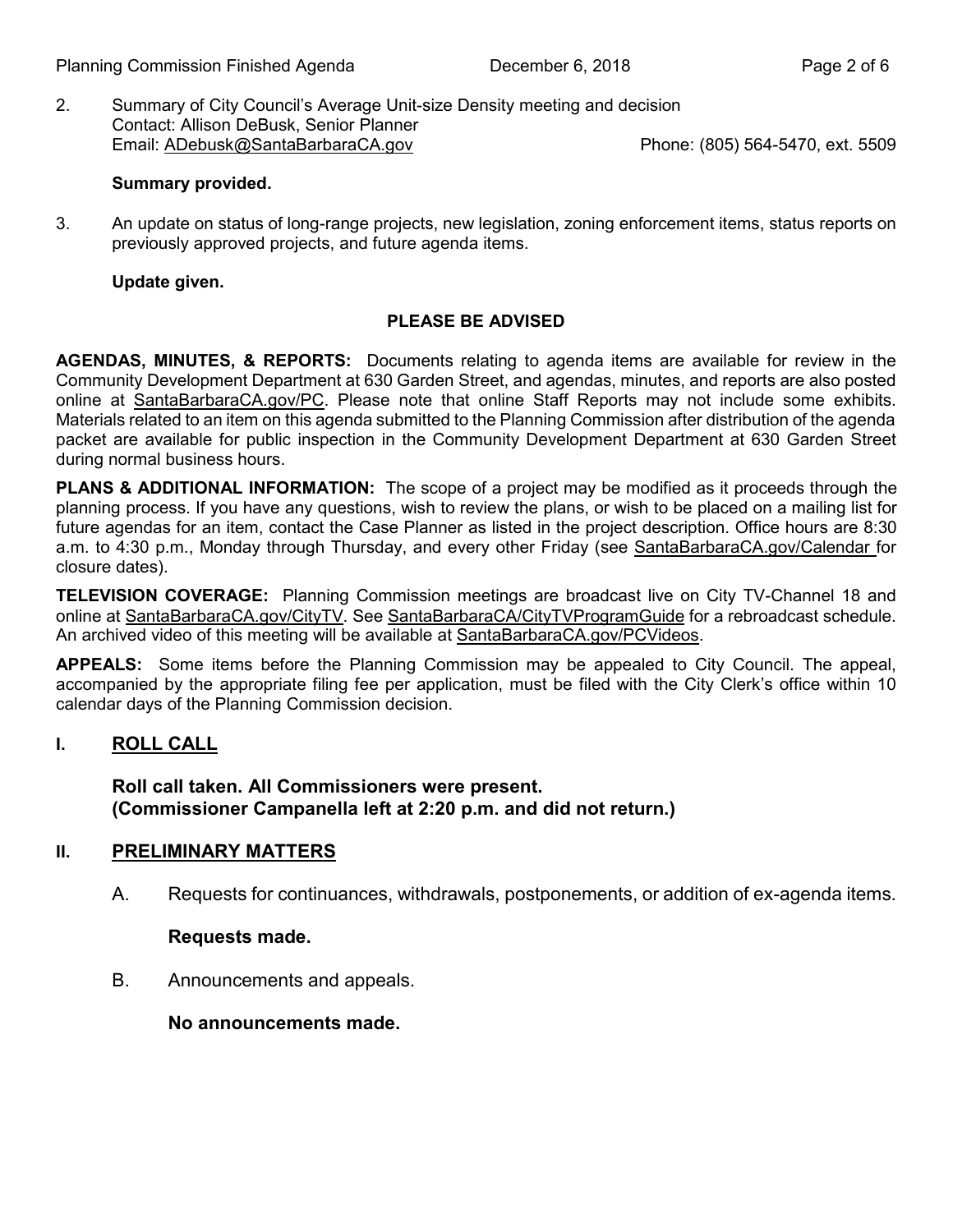2. Summary of City Council's Average Unit-size Density meeting and decision Contact: Allison DeBusk, Senior Planner Email: [ADebusk@SantaBarbaraCA.gov](mailto:ADebusk@SantaBarbaraCA.gov) Phone: (805) 564-5470, ext. 5509

#### **Summary provided.**

3. An update on status of long-range projects, new legislation, zoning enforcement items, status reports on previously approved projects, and future agenda items.

#### **Update given.**

#### **PLEASE BE ADVISED**

**AGENDAS, MINUTES, & REPORTS:** Documents relating to agenda items are available for review in the Community Development Department at 630 Garden Street, and agendas, minutes, and reports are also posted online at [SantaBarbaraCA.gov/PC](http://www.santabarbaraca.gov/PC). Please note that online Staff Reports may not include some exhibits. Materials related to an item on this agenda submitted to the Planning Commission after distribution of the agenda packet are available for public inspection in the Community Development Department at 630 Garden Street during normal business hours.

**PLANS & ADDITIONAL INFORMATION:** The scope of a project may be modified as it proceeds through the planning process. If you have any questions, wish to review the plans, or wish to be placed on a mailing list for future agendas for an item, contact the Case Planner as listed in the project description. Office hours are 8:30 a.m. to 4:30 p.m., Monday through Thursday, and every other Friday (see [SantaBarbaraCA.gov/Calendar](http://www.santabarbaraca.gov/cals/default.asp) for closure dates).

**TELEVISION COVERAGE:** Planning Commission meetings are broadcast live on City TV-Channel 18 and online at [SantaBarbaraCA.gov/CityTV.](http://www.santabarbaraca.gov/CityTV) See [SantaBarbaraCA/CityTVProgramGuide](http://www.santabarbaraca.gov/gov/depts/cityadmin/programming.asp) for a rebroadcast schedule. An archived video of this meeting will be available at [SantaBarbaraCA.gov/PCVideos](http://www.santabarbaraca.gov/PCVideos).

**APPEALS:** Some items before the Planning Commission may be appealed to City Council. The appeal, accompanied by the appropriate filing fee per application, must be filed with the City Clerk's office within 10 calendar days of the Planning Commission decision.

#### **I. ROLL CALL**

#### **Roll call taken. Al l Commissioners were present. (Commissioner Campanella left at 2:20 p.m. and did not return.)**

#### **PRELIMINARY MATTERS II.**

A. Requests for continuances, withdrawals, postponements, or addition of ex-agenda items.

#### **Requests made.**

B. Announcements and appeals.

**No announcements made.**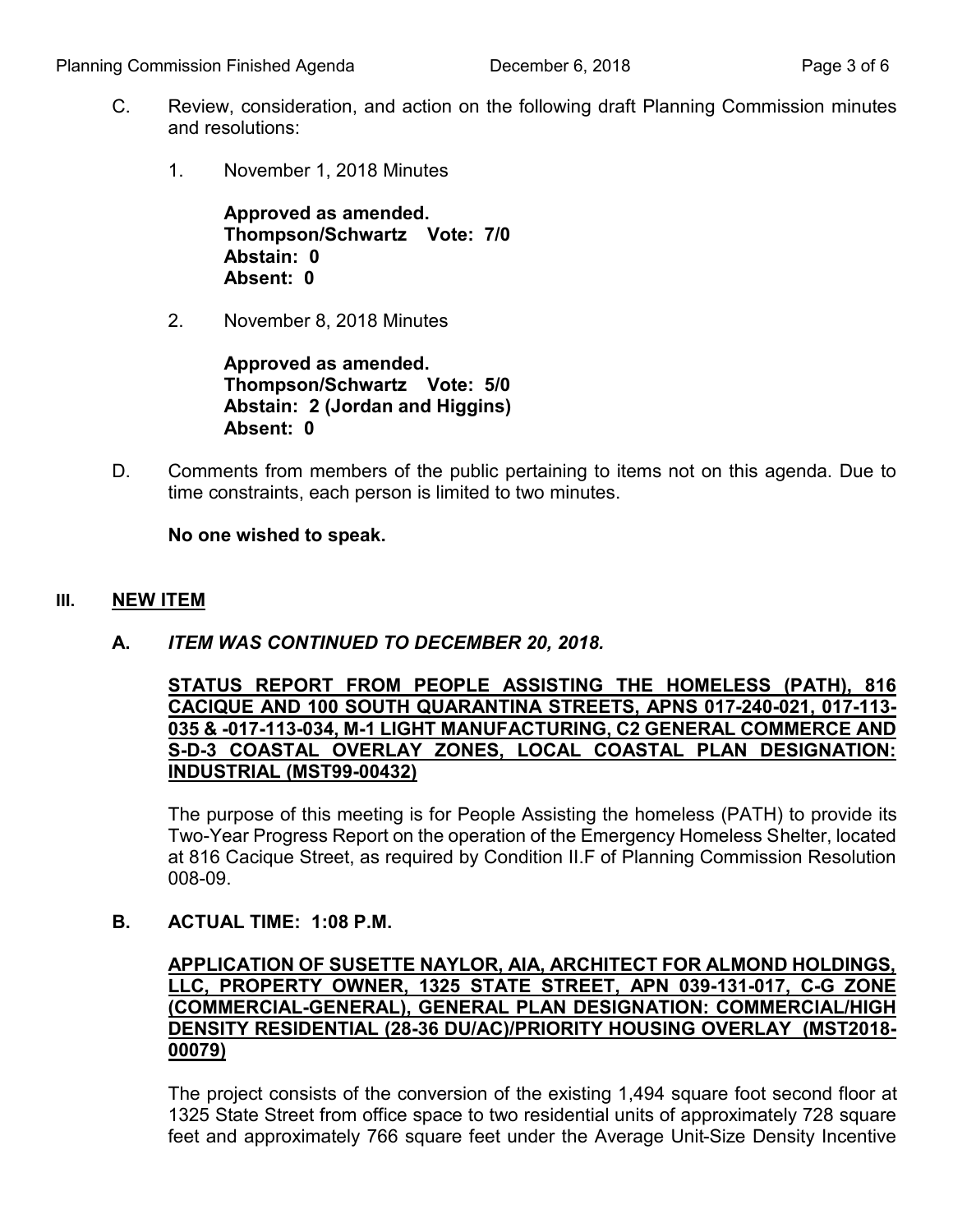- C. Review, consideration, and action on the following draft Planning Commission minutes and resolutions:
	- 1. November 1, 2018 Minutes

**Approved as amended. Thompson/Schwartz Vote: 7/0 Abstain: 0 Absent: 0** 

2. November 8, 2018 Minutes

**Approved as amended. Thompson/Schwartz Vote: 5/0 Abstain: 2 (Jordan and Higgins) Absent: 0** 

D. Comments from members of the public pertaining to items not on this agenda. Due to time constraints, each person is limited to two minutes.

**No one wished to speak.**

#### **III. NEW ITEM**

**A.** *ITEM WAS CONTINUED TO DECEMBER 20, 2018.*

**STATUS REPORT FROM PEOPLE ASSISTING THE HOMELESS (PATH), 816 CACIQUE AND 100 SOUTH QUARANTINA STREETS, APNS 017-240-021, 017-113- 035 & -017-113-034, M-1 LIGHT MANUFACTURING, C2 GENERAL COMMERCE AND S-D-3 COASTAL OVERLAY ZONES, LOCAL COASTAL PLAN DESIGNATION: INDUSTRIAL (MST99-00432)**

The purpose of this meeting is for People Assisting the homeless (PATH) to provide its Two-Year Progress Report on the operation of the Emergency Homeless Shelter, located at 816 Cacique Street, as required by Condition II.F of Planning Commission Resolution 008-09.

**B. ACTUAL TIME: 1:08 P.M.**

#### **APPLICATION OF SUSETTE NAYLOR, AIA, ARCHITECT FOR ALMOND HOLDINGS, LLC, PROPERTY OWNER, 1325 STATE STREET, APN 039-131-017, C-G ZONE (COMMERCIAL-GENERAL), GENERAL PLAN DESIGNATION: COMMERCIAL/HIGH DENSITY RESIDENTIAL (28-36 DU/AC)/PRIORITY HOUSING OVERLAY (MST2018- 00079)**

The project consists of the conversion of the existing 1,494 square foot second floor at 1325 State Street from office space to two residential units of approximately 728 square feet and approximately 766 square feet under the Average Unit-Size Density Incentive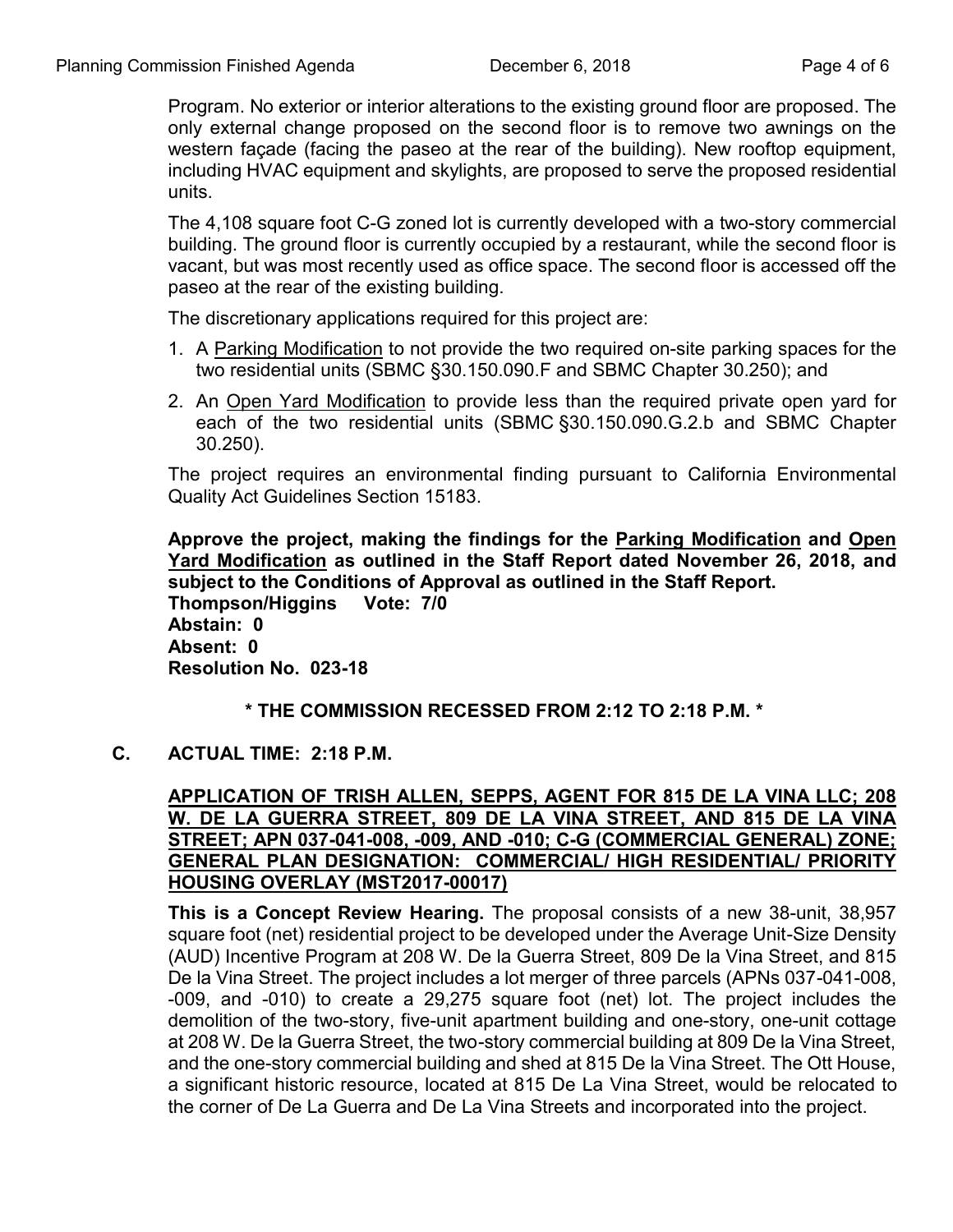Program. No exterior or interior alterations to the existing ground floor are proposed. The only external change proposed on the second floor is to remove two awnings on the western façade (facing the paseo at the rear of the building). New rooftop equipment, including HVAC equipment and skylights, are proposed to serve the proposed residential units.

The 4,108 square foot C-G zoned lot is currently developed with a two-story commercial building. The ground floor is currently occupied by a restaurant, while the second floor is vacant, but was most recently used as office space. The second floor is accessed off the paseo at the rear of the existing building.

The discretionary applications required for this project are:

- 1. A Parking Modification to not provide the two required on-site parking spaces for the two residential units (SBMC §30.150.090.F and SBMC Chapter 30.250); and
- 2. An Open Yard Modification to provide less than the required private open yard for each of the two residential units (SBMC §30.150.090.G.2.b and SBMC Chapter 30.250).

The project requires an environmental finding pursuant to California Environmental Quality Act Guidelines Section 15183.

**Approve the project, making the findings for the Parking Modification and Open Yard Modification as outlined in the Staff Report dated November 26, 2018, and subject to the Conditions of Approval as outlined in the Staff Report. Thompson/Higgins Vote: 7/0 Abstain: 0 Absent: 0 Resolution No. 023-18**

### **\* THE COMMISSION RECESSED FROM 2:12 TO 2:18 P.M. \***

**C. ACTUAL TIME: 2:18 P.M.**

**APPLICATION OF TRISH ALLEN, SEPPS, AGENT FOR 815 DE LA VINA LLC; 208 W. DE LA GUERRA STREET, 809 DE LA VINA STREET, AND 815 DE LA VINA STREET; APN 037-041-008, -009, AND -010; C-G (COMMERCIAL GENERAL) ZONE; GENERAL PLAN DESIGNATION: COMMERCIAL/ HIGH RESIDENTIAL/ PRIORITY HOUSING OVERLAY (MST2017-00017)**

**This is a Concept Review Hearing.** The proposal consists of a new 38-unit, 38,957 square foot (net) residential project to be developed under the Average Unit-Size Density (AUD) Incentive Program at 208 W. De la Guerra Street, 809 De la Vina Street, and 815 De la Vina Street. The project includes a lot merger of three parcels (APNs 037-041-008, -009, and -010) to create a 29,275 square foot (net) lot. The project includes the demolition of the two-story, five-unit apartment building and one-story, one-unit cottage at 208 W. De la Guerra Street, the two-story commercial building at 809 De la Vina Street, and the one-story commercial building and shed at 815 De la Vina Street. The Ott House, a significant historic resource, located at 815 De La Vina Street, would be relocated to the corner of De La Guerra and De La Vina Streets and incorporated into the project.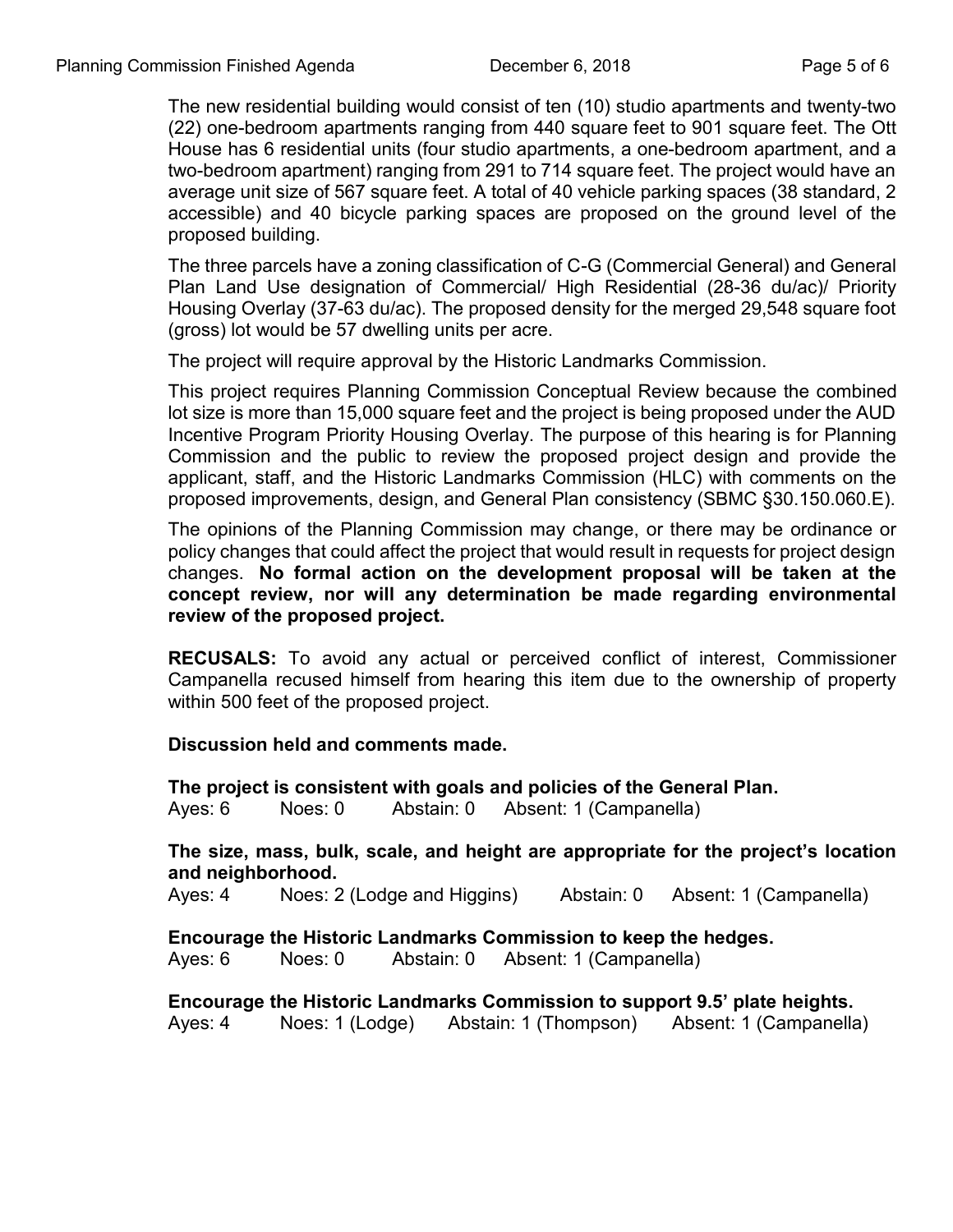The new residential building would consist of ten (10) studio apartments and twenty-two (22) one-bedroom apartments ranging from 440 square feet to 901 square feet. The Ott House has 6 residential units (four studio apartments, a one-bedroom apartment, and a two-bedroom apartment) ranging from 291 to 714 square feet. The project would have an average unit size of 567 square feet. A total of 40 vehicle parking spaces (38 standard, 2 accessible) and 40 bicycle parking spaces are proposed on the ground level of the proposed building.

The three parcels have a zoning classification of C-G (Commercial General) and General Plan Land Use designation of Commercial/ High Residential (28-36 du/ac)/ Priority Housing Overlay (37-63 du/ac). The proposed density for the merged 29,548 square foot (gross) lot would be 57 dwelling units per acre.

The project will require approval by the Historic Landmarks Commission.

This project requires Planning Commission Conceptual Review because the combined lot size is more than 15,000 square feet and the project is being proposed under the AUD Incentive Program Priority Housing Overlay. The purpose of this hearing is for Planning Commission and the public to review the proposed project design and provide the applicant, staff, and the Historic Landmarks Commission (HLC) with comments on the proposed improvements, design, and General Plan consistency (SBMC §30.150.060.E).

The opinions of the Planning Commission may change, or there may be ordinance or policy changes that could affect the project that would result in requests for project design changes. **No formal action on the development proposal will be taken at the concept review, nor will any determination be made regarding environmental review of the proposed project.**

**RECUSALS:** To avoid any actual or perceived conflict of interest, Commissioner Campanella recused himself from hearing this item due to the ownership of property within 500 feet of the proposed project.

**Discussion held and comments made.**

**The project is consistent with goals and policies of the General Plan.**

Ayes: 6 Noes: 0 Abstain: 0 Absent: 1 (Campanella)

**The size, mass, bulk, scale, and height are appropriate for the project's location and neighborhood.**

Ayes: 4 Noes: 2 (Lodge and Higgins) Abstain: 0 Absent: 1 (Campanella)

**Encourage the Historic Landmarks Commission to keep the hedges.**

Ayes: 6 Noes: 0 Abstain: 0 Absent: 1 (Campanella)

**Encourage the Historic Landmarks Commission to support 9.5' plate heights.** Ayes: 4 Noes: 1 (Lodge) Abstain: 1 (Thompson) Absent: 1 (Campanella)